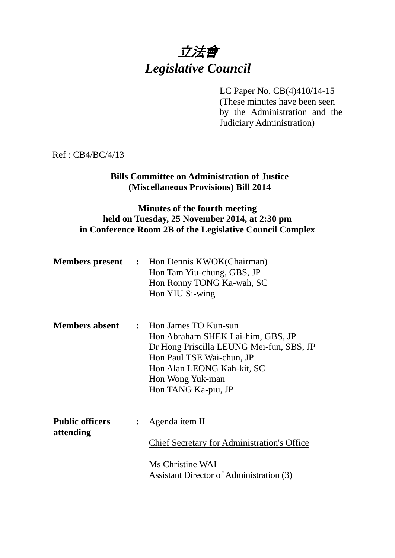# 立法會 *Legislative Council*

#### LC Paper No. CB(4)410/14-15

(These minutes have been seen by the Administration and the Judiciary Administration)

Ref : CB4/BC/4/13

## **Bills Committee on Administration of Justice (Miscellaneous Provisions) Bill 2014**

#### **Minutes of the fourth meeting held on Tuesday, 25 November 2014, at 2:30 pm in Conference Room 2B of the Legislative Council Complex**

| <b>Members present</b> | : Hon Dennis KWOK(Chairman) |
|------------------------|-----------------------------|
|                        | Hon Tam Yiu-chung, GBS, JP  |
|                        | Hon Ronny TONG Ka-wah, SC   |
|                        | Hon YIU Si-wing             |
|                        |                             |

**Members absent :** Hon James TO Kun-sun Hon Abraham SHEK Lai-him, GBS, JP Dr Hong Priscilla LEUNG Mei-fun, SBS, JP Hon Paul TSE Wai-chun, JP Hon Alan LEONG Kah-kit, SC Hon Wong Yuk-man Hon TANG Ka-piu, JP

| <b>Public officers</b> | $\therefore$ Agenda item II                        |
|------------------------|----------------------------------------------------|
| attending              |                                                    |
|                        | <b>Chief Secretary for Administration's Office</b> |
|                        | Ms Christine WAI                                   |
|                        | Assistant Director of Administration (3)           |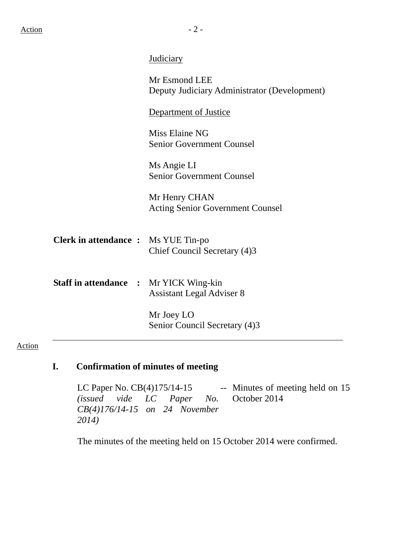| Mr Esmond LEE<br>Deputy Judiciary Administrator (Development)                     |
|-----------------------------------------------------------------------------------|
| Department of Justice                                                             |
| Miss Elaine NG<br><b>Senior Government Counsel</b>                                |
| Ms Angie LI<br><b>Senior Government Counsel</b>                                   |
| Mr Henry CHAN<br><b>Acting Senior Government Counsel</b>                          |
| <b>Clerk in attendance :</b> Ms YUE Tin-po<br>Chief Council Secretary (4)3        |
| <b>Staff in attendance : Mr YICK Wing-kin</b><br><b>Assistant Legal Adviser 8</b> |
| Mr Joey LO<br>Senior Council Secretary (4)3                                       |
|                                                                                   |

## Action

# **I. Confirmation of minutes of meeting**

LC Paper No. CB(4)175/14-15 -- Minutes of meeting held on 15 *(issued vide LC Paper No. CB(4)176/14-15 on 24 November 2014)*  October 2014

The minutes of the meeting held on 15 October 2014 were confirmed.

Judiciary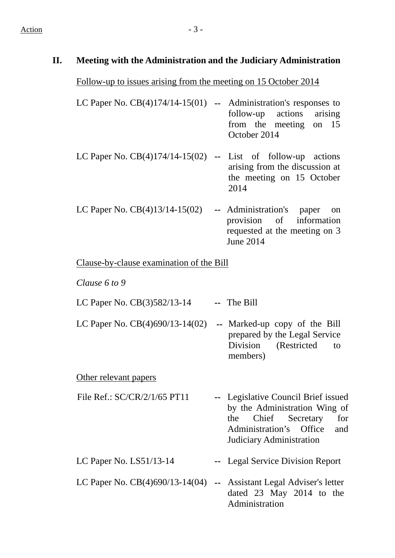## **II. Meeting with the Administration and the Judiciary Administration**

Follow-up to issues arising from the meeting on 15 October 2014

| LC Paper No. $CB(4)174/14-15(01)$ - Administration's responses to |              |  |                           |  |  |  |
|-------------------------------------------------------------------|--------------|--|---------------------------|--|--|--|
|                                                                   |              |  | follow-up actions arising |  |  |  |
|                                                                   |              |  | from the meeting on 15    |  |  |  |
|                                                                   | October 2014 |  |                           |  |  |  |
|                                                                   |              |  |                           |  |  |  |

- LC Paper No. CB(4)174/14-15(02) **--** List of follow-up actions arising from the discussion at the meeting on 15 October 2014
- LC Paper No. CB(4)13/14-15(02) **--** Administration's paper on provision of information requested at the meeting on 3 June 2014

Clause-by-clause examination of the Bill

*Clause 6 to 9* 

LC Paper No. CB(3)582/13-14 **--** The Bill

LC Paper No. CB(4)690/13-14(02) **--** Marked-up copy of the Bill prepared by the Legal Service Division (Restricted to members)

Other relevant papers

- File Ref.: SC/CR/2/1/65 PT11 **--** Legislative Council Brief issued by the Administration Wing of the Chief Secretary for Administration's Office and Judiciary Administration
- LC Paper No. LS51/13-14 **--** Legal Service Division Report
- LC Paper No. CB(4)690/13-14(04) **--** Assistant Legal Adviser's letter dated 23 May 2014 to the Administration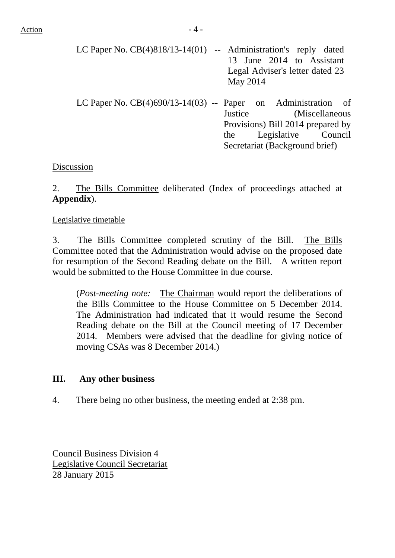| LC Paper No. $CB(4)818/13-14(01)$ -- Administration's reply dated |                                 |          |                           |  |  |  |
|-------------------------------------------------------------------|---------------------------------|----------|---------------------------|--|--|--|
|                                                                   |                                 |          | 13 June 2014 to Assistant |  |  |  |
|                                                                   | Legal Adviser's letter dated 23 |          |                           |  |  |  |
|                                                                   |                                 | May 2014 |                           |  |  |  |
|                                                                   |                                 |          |                           |  |  |  |

LC Paper No. CB(4)690/13-14(03) -- Paper on Administration of Justice (Miscellaneous Provisions) Bill 2014 prepared by the Legislative Council Secretariat (Background brief)

## Discussion

2. The Bills Committee deliberated (Index of proceedings attached at **Appendix**).

#### Legislative timetable

3. The Bills Committee completed scrutiny of the Bill. The Bills Committee noted that the Administration would advise on the proposed date for resumption of the Second Reading debate on the Bill. A written report would be submitted to the House Committee in due course.

(*Post-meeting note:* The Chairman would report the deliberations of the Bills Committee to the House Committee on 5 December 2014. The Administration had indicated that it would resume the Second Reading debate on the Bill at the Council meeting of 17 December 2014. Members were advised that the deadline for giving notice of moving CSAs was 8 December 2014.)

## **III. Any other business**

4. There being no other business, the meeting ended at 2:38 pm.

Council Business Division 4 Legislative Council Secretariat 28 January 2015